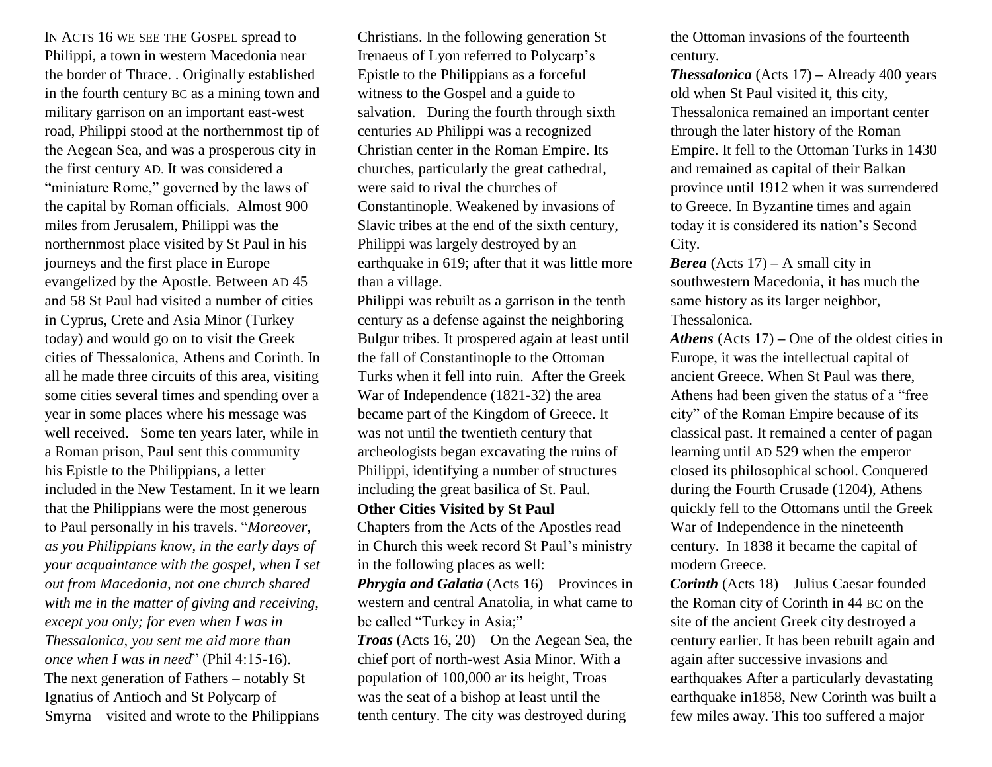IN ACTS 16 WE SEE THE GOSPEL spread to Philippi, a town in western Macedonia near the border of Thrace. . Originally established in the fourth century BC as a mining town and military garrison on an important east-west road, Philippi stood at the northernmost tip of the Aegean Sea, and was a prosperous city in the first century AD. It was considered a "miniature Rome," governed by the laws of the capital by Roman officials. Almost 900 miles from Jerusalem, Philippi was the northernmost place visited by St Paul in his journeys and the first place in Europe evangelized by the Apostle. Between AD 45 and 58 St Paul had visited a number of cities in Cyprus, Crete and Asia Minor (Turkey today) and would go on to visit the Greek cities of Thessalonica, Athens and Corinth. In all he made three circuits of this area, visiting some cities several times and spending over a year in some places where his message was well received. Some ten years later, while in a Roman prison, Paul sent this community his Epistle to the Philippians, a letter included in the New Testament. In it we learn that the Philippians were the most generous to Paul personally in his travels. "*Moreover, as you Philippians know, in the early days of your acquaintance with the gospel, when I set out from Macedonia, not one church shared with me in the matter of giving and receiving, except you only; for even when I was in Thessalonica, you sent me aid more than once when I was in need*" (Phil 4:15-16). The next generation of Fathers – notably St Ignatius of Antioch and St Polycarp of Smyrna – visited and wrote to the Philippians

Christians. In the following generation St Irenaeus of Lyon referred to Polycarp's Epistle to the Philippians as a forceful witness to the Gospel and a guide to salvation. During the fourth through sixth centuries AD Philippi was a recognized Christian center in the Roman Empire. Its churches, particularly the great cathedral, were said to rival the churches of Constantinople. Weakened by invasions of Slavic tribes at the end of the sixth century, Philippi was largely destroyed by an earthquake in 619; after that it was little more than a village.

Philippi was rebuilt as a garrison in the tenth century as a defense against the neighboring Bulgur tribes. It prospered again at least until the fall of Constantinople to the Ottoman Turks when it fell into ruin. After the Greek War of Independence (1821-32) the area became part of the Kingdom of Greece. It was not until the twentieth century that archeologists began excavating the ruins of Philippi, identifying a number of structures including the great basilica of St. Paul.

## **Other Cities Visited by St Paul**

Chapters from the Acts of the Apostles read in Church this week record St Paul's ministry in the following places as well:

*Phrygia and Galatia* (Acts 16) – Provinces in western and central Anatolia, in what came to be called "Turkey in Asia;"

*Troas* (Acts 16, 20) – On the Aegean Sea, the chief port of north-west Asia Minor. With a population of 100,000 ar its height, Troas was the seat of a bishop at least until the tenth century. The city was destroyed during

the Ottoman invasions of the fourteenth century.

*Thessalonica* (Acts 17) **–** Already 400 years old when St Paul visited it, this city, Thessalonica remained an important center through the later history of the Roman Empire. It fell to the Ottoman Turks in 1430 and remained as capital of their Balkan province until 1912 when it was surrendered to Greece. In Byzantine times and again today it is considered its nation's Second City.

*Berea* (Acts 17) **–** A small city in southwestern Macedonia, it has much the same history as its larger neighbor, Thessalonica.

*Athens* (Acts 17) **–** One of the oldest cities in Europe, it was the intellectual capital of ancient Greece. When St Paul was there, Athens had been given the status of a "free city" of the Roman Empire because of its classical past. It remained a center of pagan learning until AD 529 when the emperor closed its philosophical school. Conquered during the Fourth Crusade (1204), Athens quickly fell to the Ottomans until the Greek War of Independence in the nineteenth century. In 1838 it became the capital of modern Greece.

*Corinth* (Acts 18) – Julius Caesar founded the Roman city of Corinth in 44 BC on the site of the ancient Greek city destroyed a century earlier. It has been rebuilt again and again after successive invasions and earthquakes After a particularly devastating earthquake in1858, New Corinth was built a few miles away. This too suffered a major